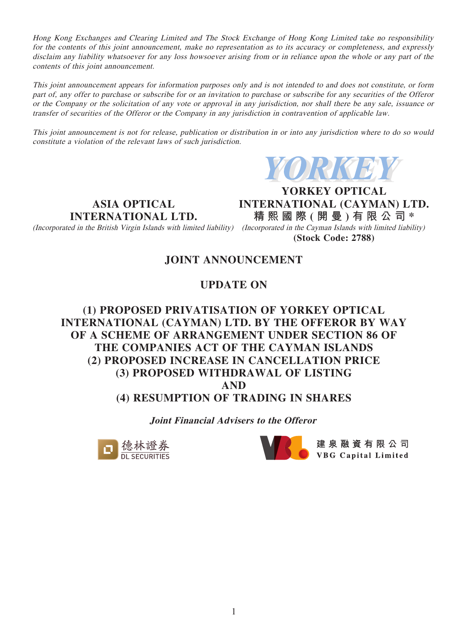Hong Kong Exchanges and Clearing Limited and The Stock Exchange of Hong Kong Limited take no responsibility for the contents of this joint announcement, make no representation as to its accuracy or completeness, and expressly disclaim any liability whatsoever for any loss howsoever arising from or in reliance upon the whole or any part of the contents of this joint announcement.

This joint announcement appears for information purposes only and is not intended to and does not constitute, or form part of, any offer to purchase or subscribe for or an invitation to purchase or subscribe for any securities of the Offeror or the Company or the solicitation of any vote or approval in any jurisdiction, nor shall there be any sale, issuance or transfer of securities of the Offeror or the Company in any jurisdiction in contravention of applicable law.

This joint announcement is not for release, publication or distribution in or into any jurisdiction where to do so would constitute a violation of the relevant laws of such jurisdiction.



**ASIA OPTICAL INTERNATIONAL LTD.**

(Incorporated in the British Virgin Islands with limited liability) (Incorporated in the Cayman Islands with limited liability)

**YORKEY OPTICAL INTERNATIONAL (CAYMAN) LTD. 精熙國際 ( 開 曼 ) 有限公司 \***

**(Stock Code: 2788)**

# **JOINT ANNOUNCEMENT**

# **UPDATE ON**

# **(1) PROPOSED PRIVATISATION OF YORKEY OPTICAL INTERNATIONAL (CAYMAN) LTD. BY THE OFFEROR BY WAY OF A SCHEME OF ARRANGEMENT UNDER SECTION 86 OF THE COMPANIES ACT OF THE CAYMAN ISLANDS (2) PROPOSED INCREASE IN CANCELLATION PRICE (3) PROPOSED WITHDRAWAL OF LISTING AND (4) RESUMPTION OF TRADING IN SHARES**

**Joint Financial Advisers to the Offeror**





● 建泉融資有限公司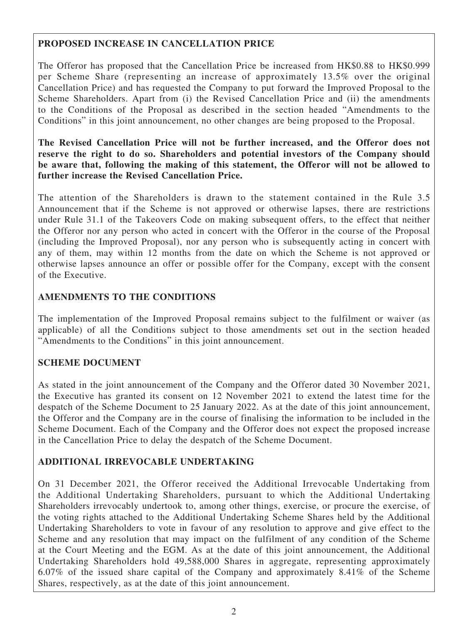### **PROPOSED INCREASE IN CANCELLATION PRICE**

The Offeror has proposed that the Cancellation Price be increased from HK\$0.88 to HK\$0.999 per Scheme Share (representing an increase of approximately 13.5% over the original Cancellation Price) and has requested the Company to put forward the Improved Proposal to the Scheme Shareholders. Apart from (i) the Revised Cancellation Price and (ii) the amendments to the Conditions of the Proposal as described in the section headed "Amendments to the Conditions" in this joint announcement, no other changes are being proposed to the Proposal.

**The Revised Cancellation Price will not be further increased, and the Offeror does not reserve the right to do so. Shareholders and potential investors of the Company should be aware that, following the making of this statement, the Offeror will not be allowed to further increase the Revised Cancellation Price.**

The attention of the Shareholders is drawn to the statement contained in the Rule 3.5 Announcement that if the Scheme is not approved or otherwise lapses, there are restrictions under Rule 31.1 of the Takeovers Code on making subsequent offers, to the effect that neither the Offeror nor any person who acted in concert with the Offeror in the course of the Proposal (including the Improved Proposal), nor any person who is subsequently acting in concert with any of them, may within 12 months from the date on which the Scheme is not approved or otherwise lapses announce an offer or possible offer for the Company, except with the consent of the Executive.

## **AMENDMENTS TO THE CONDITIONS**

The implementation of the Improved Proposal remains subject to the fulfilment or waiver (as applicable) of all the Conditions subject to those amendments set out in the section headed "Amendments to the Conditions" in this joint announcement.

# **SCHEME DOCUMENT**

As stated in the joint announcement of the Company and the Offeror dated 30 November 2021, the Executive has granted its consent on 12 November 2021 to extend the latest time for the despatch of the Scheme Document to 25 January 2022. As at the date of this joint announcement, the Offeror and the Company are in the course of finalising the information to be included in the Scheme Document. Each of the Company and the Offeror does not expect the proposed increase in the Cancellation Price to delay the despatch of the Scheme Document.

# **ADDITIONAL IRREVOCABLE UNDERTAKING**

On 31 December 2021, the Offeror received the Additional Irrevocable Undertaking from the Additional Undertaking Shareholders, pursuant to which the Additional Undertaking Shareholders irrevocably undertook to, among other things, exercise, or procure the exercise, of the voting rights attached to the Additional Undertaking Scheme Shares held by the Additional Undertaking Shareholders to vote in favour of any resolution to approve and give effect to the Scheme and any resolution that may impact on the fulfilment of any condition of the Scheme at the Court Meeting and the EGM. As at the date of this joint announcement, the Additional Undertaking Shareholders hold 49,588,000 Shares in aggregate, representing approximately 6.07% of the issued share capital of the Company and approximately 8.41% of the Scheme Shares, respectively, as at the date of this joint announcement.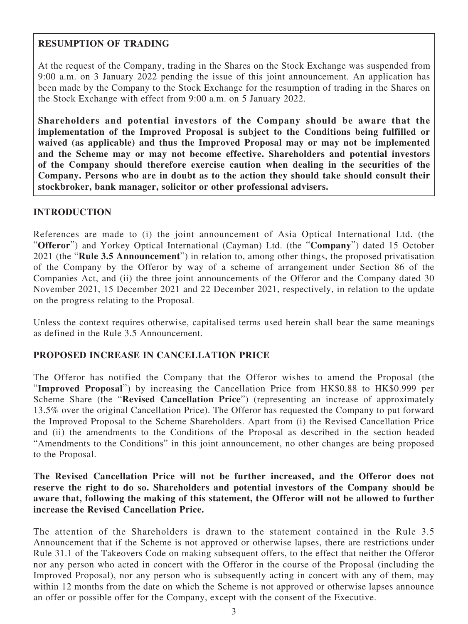### **RESUMPTION OF TRADING**

At the request of the Company, trading in the Shares on the Stock Exchange was suspended from 9:00 a.m. on 3 January 2022 pending the issue of this joint announcement. An application has been made by the Company to the Stock Exchange for the resumption of trading in the Shares on the Stock Exchange with effect from 9:00 a.m. on 5 January 2022.

**Shareholders and potential investors of the Company should be aware that the implementation of the Improved Proposal is subject to the Conditions being fulfilled or waived (as applicable) and thus the Improved Proposal may or may not be implemented and the Scheme may or may not become effective. Shareholders and potential investors of the Company should therefore exercise caution when dealing in the securities of the Company. Persons who are in doubt as to the action they should take should consult their stockbroker, bank manager, solicitor or other professional advisers.**

#### **INTRODUCTION**

References are made to (i) the joint announcement of Asia Optical International Ltd. (the "**Offeror**") and Yorkey Optical International (Cayman) Ltd. (the "**Company**") dated 15 October 2021 (the "**Rule 3.5 Announcement**") in relation to, among other things, the proposed privatisation of the Company by the Offeror by way of a scheme of arrangement under Section 86 of the Companies Act, and (ii) the three joint announcements of the Offeror and the Company dated 30 November 2021, 15 December 2021 and 22 December 2021, respectively, in relation to the update on the progress relating to the Proposal.

Unless the context requires otherwise, capitalised terms used herein shall bear the same meanings as defined in the Rule 3.5 Announcement.

#### **PROPOSED INCREASE IN CANCELLATION PRICE**

The Offeror has notified the Company that the Offeror wishes to amend the Proposal (the "**Improved Proposal**") by increasing the Cancellation Price from HK\$0.88 to HK\$0.999 per Scheme Share (the "**Revised Cancellation Price**") (representing an increase of approximately 13.5% over the original Cancellation Price). The Offeror has requested the Company to put forward the Improved Proposal to the Scheme Shareholders. Apart from (i) the Revised Cancellation Price and (ii) the amendments to the Conditions of the Proposal as described in the section headed "Amendments to the Conditions" in this joint announcement, no other changes are being proposed to the Proposal.

### **The Revised Cancellation Price will not be further increased, and the Offeror does not reserve the right to do so. Shareholders and potential investors of the Company should be aware that, following the making of this statement, the Offeror will not be allowed to further increase the Revised Cancellation Price.**

The attention of the Shareholders is drawn to the statement contained in the Rule 3.5 Announcement that if the Scheme is not approved or otherwise lapses, there are restrictions under Rule 31.1 of the Takeovers Code on making subsequent offers, to the effect that neither the Offeror nor any person who acted in concert with the Offeror in the course of the Proposal (including the Improved Proposal), nor any person who is subsequently acting in concert with any of them, may within 12 months from the date on which the Scheme is not approved or otherwise lapses announce an offer or possible offer for the Company, except with the consent of the Executive.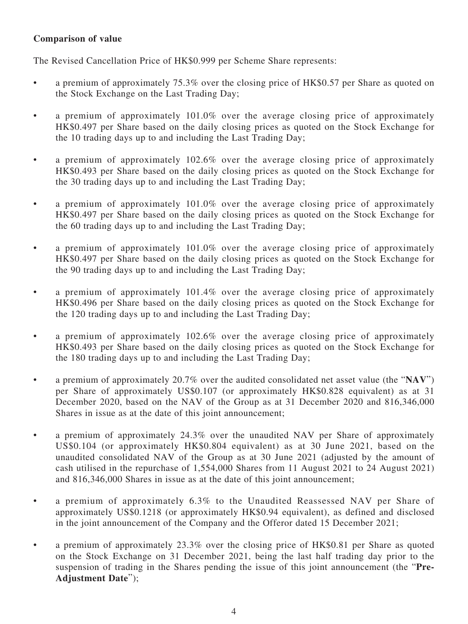### **Comparison of value**

The Revised Cancellation Price of HK\$0.999 per Scheme Share represents:

- a premium of approximately 75.3% over the closing price of HK\$0.57 per Share as quoted on the Stock Exchange on the Last Trading Day;
- a premium of approximately 101.0% over the average closing price of approximately HK\$0.497 per Share based on the daily closing prices as quoted on the Stock Exchange for the 10 trading days up to and including the Last Trading Day;
- a premium of approximately 102.6% over the average closing price of approximately HK\$0.493 per Share based on the daily closing prices as quoted on the Stock Exchange for the 30 trading days up to and including the Last Trading Day;
- a premium of approximately 101.0% over the average closing price of approximately HK\$0.497 per Share based on the daily closing prices as quoted on the Stock Exchange for the 60 trading days up to and including the Last Trading Day;
- a premium of approximately 101.0% over the average closing price of approximately HK\$0.497 per Share based on the daily closing prices as quoted on the Stock Exchange for the 90 trading days up to and including the Last Trading Day;
- a premium of approximately 101.4% over the average closing price of approximately HK\$0.496 per Share based on the daily closing prices as quoted on the Stock Exchange for the 120 trading days up to and including the Last Trading Day;
- a premium of approximately 102.6% over the average closing price of approximately HK\$0.493 per Share based on the daily closing prices as quoted on the Stock Exchange for the 180 trading days up to and including the Last Trading Day;
- a premium of approximately 20.7% over the audited consolidated net asset value (the "**NAV**") per Share of approximately US\$0.107 (or approximately HK\$0.828 equivalent) as at 31 December 2020, based on the NAV of the Group as at 31 December 2020 and 816,346,000 Shares in issue as at the date of this joint announcement;
- a premium of approximately 24.3% over the unaudited NAV per Share of approximately US\$0.104 (or approximately HK\$0.804 equivalent) as at 30 June 2021, based on the unaudited consolidated NAV of the Group as at 30 June 2021 (adjusted by the amount of cash utilised in the repurchase of 1,554,000 Shares from 11 August 2021 to 24 August 2021) and 816,346,000 Shares in issue as at the date of this joint announcement;
- a premium of approximately 6.3% to the Unaudited Reassessed NAV per Share of approximately US\$0.1218 (or approximately HK\$0.94 equivalent), as defined and disclosed in the joint announcement of the Company and the Offeror dated 15 December 2021;
- a premium of approximately 23.3% over the closing price of HK\$0.81 per Share as quoted on the Stock Exchange on 31 December 2021, being the last half trading day prior to the suspension of trading in the Shares pending the issue of this joint announcement (the "**Pre-Adjustment Date**");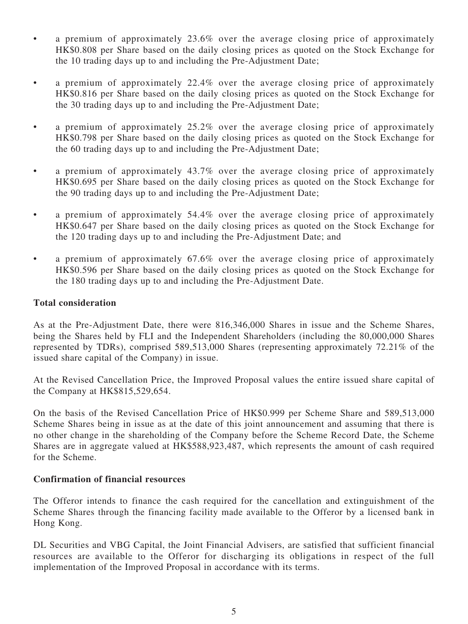- a premium of approximately 23.6% over the average closing price of approximately HK\$0.808 per Share based on the daily closing prices as quoted on the Stock Exchange for the 10 trading days up to and including the Pre-Adjustment Date;
- a premium of approximately 22.4% over the average closing price of approximately HK\$0.816 per Share based on the daily closing prices as quoted on the Stock Exchange for the 30 trading days up to and including the Pre-Adjustment Date;
- a premium of approximately 25.2% over the average closing price of approximately HK\$0.798 per Share based on the daily closing prices as quoted on the Stock Exchange for the 60 trading days up to and including the Pre-Adjustment Date;
- a premium of approximately 43.7% over the average closing price of approximately HK\$0.695 per Share based on the daily closing prices as quoted on the Stock Exchange for the 90 trading days up to and including the Pre-Adjustment Date;
- a premium of approximately 54.4% over the average closing price of approximately HK\$0.647 per Share based on the daily closing prices as quoted on the Stock Exchange for the 120 trading days up to and including the Pre-Adjustment Date; and
- a premium of approximately 67.6% over the average closing price of approximately HK\$0.596 per Share based on the daily closing prices as quoted on the Stock Exchange for the 180 trading days up to and including the Pre-Adjustment Date.

### **Total consideration**

As at the Pre-Adjustment Date, there were 816,346,000 Shares in issue and the Scheme Shares, being the Shares held by FLI and the Independent Shareholders (including the 80,000,000 Shares represented by TDRs), comprised 589,513,000 Shares (representing approximately 72.21% of the issued share capital of the Company) in issue.

At the Revised Cancellation Price, the Improved Proposal values the entire issued share capital of the Company at HK\$815,529,654.

On the basis of the Revised Cancellation Price of HK\$0.999 per Scheme Share and 589,513,000 Scheme Shares being in issue as at the date of this joint announcement and assuming that there is no other change in the shareholding of the Company before the Scheme Record Date, the Scheme Shares are in aggregate valued at HK\$588,923,487, which represents the amount of cash required for the Scheme.

#### **Confirmation of financial resources**

The Offeror intends to finance the cash required for the cancellation and extinguishment of the Scheme Shares through the financing facility made available to the Offeror by a licensed bank in Hong Kong.

DL Securities and VBG Capital, the Joint Financial Advisers, are satisfied that sufficient financial resources are available to the Offeror for discharging its obligations in respect of the full implementation of the Improved Proposal in accordance with its terms.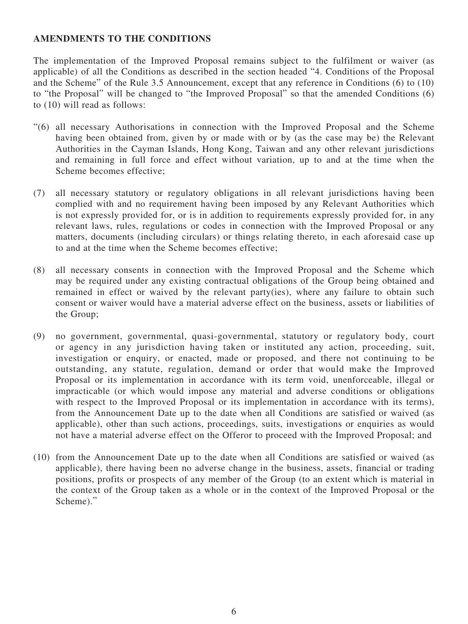#### **AMENDMENTS TO THE CONDITIONS**

The implementation of the Improved Proposal remains subject to the fulfilment or waiver (as applicable) of all the Conditions as described in the section headed "4. Conditions of the Proposal and the Scheme" of the Rule 3.5 Announcement, except that any reference in Conditions (6) to (10) to "the Proposal" will be changed to "the Improved Proposal" so that the amended Conditions (6) to (10) will read as follows:

- "(6) all necessary Authorisations in connection with the Improved Proposal and the Scheme having been obtained from, given by or made with or by (as the case may be) the Relevant Authorities in the Cayman Islands, Hong Kong, Taiwan and any other relevant jurisdictions and remaining in full force and effect without variation, up to and at the time when the Scheme becomes effective;
- (7) all necessary statutory or regulatory obligations in all relevant jurisdictions having been complied with and no requirement having been imposed by any Relevant Authorities which is not expressly provided for, or is in addition to requirements expressly provided for, in any relevant laws, rules, regulations or codes in connection with the Improved Proposal or any matters, documents (including circulars) or things relating thereto, in each aforesaid case up to and at the time when the Scheme becomes effective;
- (8) all necessary consents in connection with the Improved Proposal and the Scheme which may be required under any existing contractual obligations of the Group being obtained and remained in effect or waived by the relevant party(ies), where any failure to obtain such consent or waiver would have a material adverse effect on the business, assets or liabilities of the Group;
- (9) no government, governmental, quasi-governmental, statutory or regulatory body, court or agency in any jurisdiction having taken or instituted any action, proceeding, suit, investigation or enquiry, or enacted, made or proposed, and there not continuing to be outstanding, any statute, regulation, demand or order that would make the Improved Proposal or its implementation in accordance with its term void, unenforceable, illegal or impracticable (or which would impose any material and adverse conditions or obligations with respect to the Improved Proposal or its implementation in accordance with its terms), from the Announcement Date up to the date when all Conditions are satisfied or waived (as applicable), other than such actions, proceedings, suits, investigations or enquiries as would not have a material adverse effect on the Offeror to proceed with the Improved Proposal; and
- (10) from the Announcement Date up to the date when all Conditions are satisfied or waived (as applicable), there having been no adverse change in the business, assets, financial or trading positions, profits or prospects of any member of the Group (to an extent which is material in the context of the Group taken as a whole or in the context of the Improved Proposal or the Scheme)."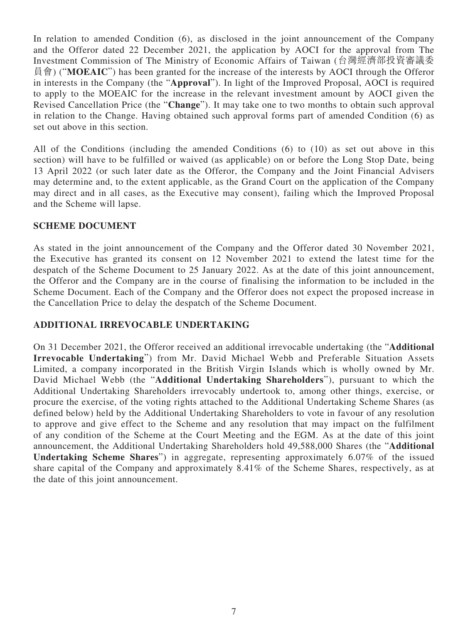In relation to amended Condition (6), as disclosed in the joint announcement of the Company and the Offeror dated 22 December 2021, the application by AOCI for the approval from The Investment Commission of The Ministry of Economic Affairs of Taiwan (台灣經濟部投資審議委 員會) ("**MOEAIC**") has been granted for the increase of the interests by AOCI through the Offeror in interests in the Company (the "**Approval**"). In light of the Improved Proposal, AOCI is required to apply to the MOEAIC for the increase in the relevant investment amount by AOCI given the Revised Cancellation Price (the "**Change**"). It may take one to two months to obtain such approval in relation to the Change. Having obtained such approval forms part of amended Condition (6) as set out above in this section.

All of the Conditions (including the amended Conditions (6) to (10) as set out above in this section) will have to be fulfilled or waived (as applicable) on or before the Long Stop Date, being 13 April 2022 (or such later date as the Offeror, the Company and the Joint Financial Advisers may determine and, to the extent applicable, as the Grand Court on the application of the Company may direct and in all cases, as the Executive may consent), failing which the Improved Proposal and the Scheme will lapse.

#### **SCHEME DOCUMENT**

As stated in the joint announcement of the Company and the Offeror dated 30 November 2021, the Executive has granted its consent on 12 November 2021 to extend the latest time for the despatch of the Scheme Document to 25 January 2022. As at the date of this joint announcement, the Offeror and the Company are in the course of finalising the information to be included in the Scheme Document. Each of the Company and the Offeror does not expect the proposed increase in the Cancellation Price to delay the despatch of the Scheme Document.

### **ADDITIONAL IRREVOCABLE UNDERTAKING**

On 31 December 2021, the Offeror received an additional irrevocable undertaking (the "**Additional Irrevocable Undertaking**") from Mr. David Michael Webb and Preferable Situation Assets Limited, a company incorporated in the British Virgin Islands which is wholly owned by Mr. David Michael Webb (the "**Additional Undertaking Shareholders**"), pursuant to which the Additional Undertaking Shareholders irrevocably undertook to, among other things, exercise, or procure the exercise, of the voting rights attached to the Additional Undertaking Scheme Shares (as defined below) held by the Additional Undertaking Shareholders to vote in favour of any resolution to approve and give effect to the Scheme and any resolution that may impact on the fulfilment of any condition of the Scheme at the Court Meeting and the EGM. As at the date of this joint announcement, the Additional Undertaking Shareholders hold 49,588,000 Shares (the "**Additional Undertaking Scheme Shares**") in aggregate, representing approximately 6.07% of the issued share capital of the Company and approximately 8.41% of the Scheme Shares, respectively, as at the date of this joint announcement.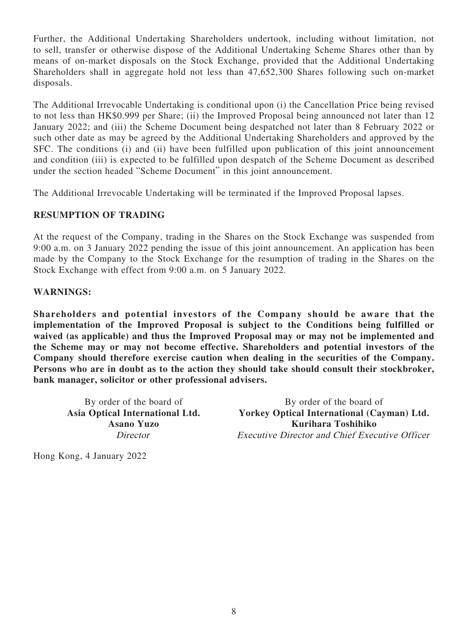Further, the Additional Undertaking Shareholders undertook, including without limitation, not to sell, transfer or otherwise dispose of the Additional Undertaking Scheme Shares other than by means of on-market disposals on the Stock Exchange, provided that the Additional Undertaking Shareholders shall in aggregate hold not less than 47,652,300 Shares following such on-market disposals.

The Additional Irrevocable Undertaking is conditional upon (i) the Cancellation Price being revised to not less than HK\$0.999 per Share; (ii) the Improved Proposal being announced not later than 12 January 2022; and (iii) the Scheme Document being despatched not later than 8 February 2022 or such other date as may be agreed by the Additional Undertaking Shareholders and approved by the SFC. The conditions (i) and (ii) have been fulfilled upon publication of this joint announcement and condition (iii) is expected to be fulfilled upon despatch of the Scheme Document as described under the section headed "Scheme Document" in this joint announcement.

The Additional Irrevocable Undertaking will be terminated if the Improved Proposal lapses.

### **RESUMPTION OF TRADING**

At the request of the Company, trading in the Shares on the Stock Exchange was suspended from 9:00 a.m. on 3 January 2022 pending the issue of this joint announcement. An application has been made by the Company to the Stock Exchange for the resumption of trading in the Shares on the Stock Exchange with effect from 9:00 a.m. on 5 January 2022.

#### **WARNINGS:**

**Shareholders and potential investors of the Company should be aware that the implementation of the Improved Proposal is subject to the Conditions being fulfilled or waived (as applicable) and thus the Improved Proposal may or may not be implemented and the Scheme may or may not become effective. Shareholders and potential investors of the Company should therefore exercise caution when dealing in the securities of the Company. Persons who are in doubt as to the action they should take should consult their stockbroker, bank manager, solicitor or other professional advisers.**

By order of the board of By order of the board of **Asia Optical International Ltd. Yorkey Optical International (Cayman) Ltd. Asano Yuzo Kurihara Toshihiko** Director Executive Director and Chief Executive Officer

Hong Kong, 4 January 2022